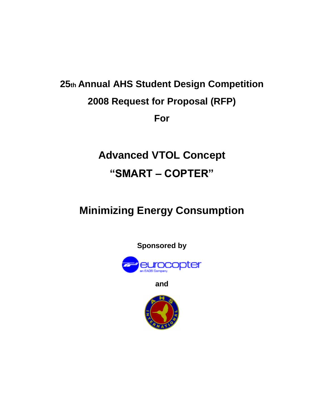# **25th Annual AHS Student Design Competition 2008 Request for Proposal (RFP) For**

# **Advanced VTOL Concept "SMART – COPTER"**

# **Minimizing Energy Consumption**



**and**

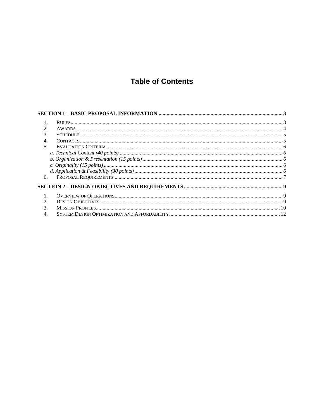# **Table of Contents**

| 3.                          |  |
|-----------------------------|--|
| 4.                          |  |
| 5.                          |  |
|                             |  |
|                             |  |
|                             |  |
|                             |  |
| 6.                          |  |
|                             |  |
|                             |  |
| $\mathcal{D}_{\mathcal{L}}$ |  |
|                             |  |
|                             |  |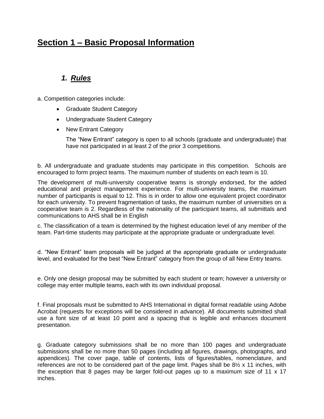# <span id="page-2-0"></span>**Section 1 – Basic Proposal Information**

## *1. Rules*

- <span id="page-2-1"></span>a. Competition categories include:
	- Graduate Student Category
	- Undergraduate Student Category
	- New Entrant Category

The "New Entrant" category is open to all schools (graduate and undergraduate) that have not participated in at least 2 of the prior 3 competitions.

b. All undergraduate and graduate students may participate in this competition. Schools are encouraged to form project teams. The maximum number of students on each team is 10.

The development of multi-university cooperative teams is strongly endorsed, for the added educational and project management experience. For multi-university teams, the maximum number of participants is equal to 12. This is in order to allow one equivalent project coordinator for each university. To prevent fragmentation of tasks, the maximum number of universities on a cooperative team is 2. Regardless of the nationality of the participant teams, all submittals and communications to AHS shall be in English

c. The classification of a team is determined by the highest education level of any member of the team. Part-time students may participate at the appropriate graduate or undergraduate level.

d. "New Entrant" team proposals will be judged at the appropriate graduate or undergraduate level, and evaluated for the best "New Entrant" category from the group of all New Entry teams.

e. Only one design proposal may be submitted by each student or team; however a university or college may enter multiple teams, each with its own individual proposal.

f. Final proposals must be submitted to AHS International in digital format readable using Adobe Acrobat (requests for exceptions will be considered in advance). All documents submitted shall use a font size of at least 10 point and a spacing that is legible and enhances document presentation.

g. Graduate category submissions shall be no more than 100 pages and undergraduate submissions shall be no more than 50 pages (including all figures, drawings, photographs, and appendices). The cover page, table of contents, lists of figures/tables, nomenclature, and references are not to be considered part of the page limit. Pages shall be  $8\frac{1}{2} \times 11$  inches, with the exception that 8 pages may be larger fold-out pages up to a maximum size of 11 x 17 inches.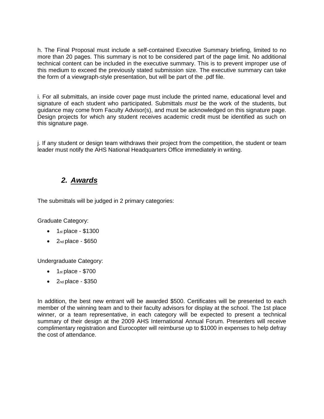h. The Final Proposal must include a self-contained Executive Summary briefing, limited to no more than 20 pages. This summary is not to be considered part of the page limit. No additional technical content can be included in the executive summary. This is to prevent improper use of this medium to exceed the previously stated submission size. The executive summary can take the form of a viewgraph-style presentation, but will be part of the .pdf file.

i. For all submittals, an inside cover page must include the printed name, educational level and signature of each student who participated. Submittals *must* be the work of the students, but guidance may come from Faculty Advisor(s), and must be acknowledged on this signature page. Design projects for which any student receives academic credit must be identified as such on this signature page.

j. If any student or design team withdraws their project from the competition, the student or team leader must notify the AHS National Headquarters Office immediately in writing.

### *2. Awards*

<span id="page-3-0"></span>The submittals will be judged in 2 primary categories:

Graduate Category:

- $\bullet$  1st place \$1300
- $\bullet$  2nd place \$650

Undergraduate Category:

- $\bullet$  1st place \$700
- $\bullet$  2nd place \$350

In addition, the best new entrant will be awarded \$500. Certificates will be presented to each member of the winning team and to their faculty advisors for display at the school. The 1st place winner, or a team representative, in each category will be expected to present a technical summary of their design at the 2009 AHS International Annual Forum. Presenters will receive complimentary registration and Eurocopter will reimburse up to \$1000 in expenses to help defray the cost of attendance.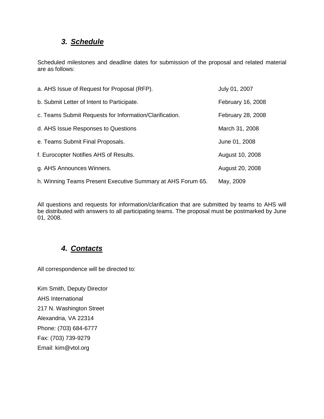## *3. Schedule*

<span id="page-4-0"></span>Scheduled milestones and deadline dates for submission of the proposal and related material are as follows:

| a. AHS Issue of Request for Proposal (RFP).                 | July 01, 2007     |
|-------------------------------------------------------------|-------------------|
| b. Submit Letter of Intent to Participate.                  | February 16, 2008 |
| c. Teams Submit Requests for Information/Clarification.     | February 28, 2008 |
| d. AHS Issue Responses to Questions                         | March 31, 2008    |
| e. Teams Submit Final Proposals.                            | June 01, 2008     |
| f. Eurocopter Notifies AHS of Results.                      | August 10, 2008   |
| g. AHS Announces Winners.                                   | August 20, 2008   |
| h. Winning Teams Present Executive Summary at AHS Forum 65. | May, 2009         |

All questions and requests for information/clarification that are submitted by teams to AHS will be distributed with answers to all participating teams. The proposal must be postmarked by June 01, 2008.

# *4. Contacts*

<span id="page-4-1"></span>All correspondence will be directed to:

Kim Smith, Deputy Director AHS International 217 N. Washington Street Alexandria, VA 22314 Phone: (703) 684-6777 Fax: (703) 739-9279 Email: kim@vtol.org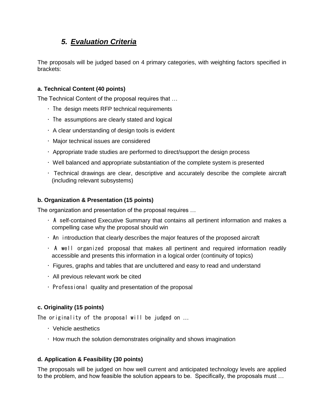## *5. Evaluation Criteria*

<span id="page-5-0"></span>The proposals will be judged based on 4 primary categories, with weighting factors specified in brackets:

#### <span id="page-5-1"></span>**a. Technical Content (40 points)**

The Technical Content of the proposal requires that …

- The design meets RFP technical requirements
- The assumptions are clearly stated and logical
- A clear understanding of design tools is evident
- Major technical issues are considered
- Appropriate trade studies are performed to direct/support the design process
- Well balanced and appropriate substantiation of the complete system is presented
- Technical drawings are clear, descriptive and accurately describe the complete aircraft (including relevant subsystems)

#### <span id="page-5-2"></span>**b. Organization & Presentation (15 points)**

The organization and presentation of the proposal requires …

- A self-contained Executive Summary that contains all pertinent information and makes a compelling case why the proposal should win
- An introduction that clearly describes the major features of the proposed aircraft
- A well organized proposal that makes all pertinent and required information readily accessible and presents this information in a logical order (continuity of topics)
- Figures, graphs and tables that are uncluttered and easy to read and understand
- All previous relevant work be cited
- Professional quality and presentation of the proposal

#### <span id="page-5-3"></span>**c. Originality (15 points)**

The originality of the proposal will be judged on …

- Vehicle aesthetics
- How much the solution demonstrates originality and shows imagination

#### <span id="page-5-4"></span>**d. Application & Feasibility (30 points)**

The proposals will be judged on how well current and anticipated technology levels are applied to the problem, and how feasible the solution appears to be. Specifically, the proposals must …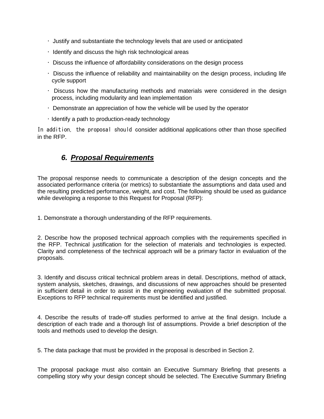- Justify and substantiate the technology levels that are used or anticipated
- Identify and discuss the high risk technological areas
- Discuss the influence of affordability considerations on the design process
- Discuss the influence of reliability and maintainability on the design process, including life cycle support
- Discuss how the manufacturing methods and materials were considered in the design process, including modularity and lean implementation
- Demonstrate an appreciation of how the vehicle will be used by the operator
- Identify a path to production-ready technology

In addition, the proposal should consider additional applications other than those specified in the RFP.

### *6. Proposal Requirements*

<span id="page-6-0"></span>The proposal response needs to communicate a description of the design concepts and the associated performance criteria (or metrics) to substantiate the assumptions and data used and the resulting predicted performance, weight, and cost. The following should be used as guidance while developing a response to this Request for Proposal (RFP):

1. Demonstrate a thorough understanding of the RFP requirements.

2. Describe how the proposed technical approach complies with the requirements specified in the RFP. Technical justification for the selection of materials and technologies is expected. Clarity and completeness of the technical approach will be a primary factor in evaluation of the proposals.

3. Identify and discuss critical technical problem areas in detail. Descriptions, method of attack, system analysis, sketches, drawings, and discussions of new approaches should be presented in sufficient detail in order to assist in the engineering evaluation of the submitted proposal. Exceptions to RFP technical requirements must be identified and justified.

4. Describe the results of trade-off studies performed to arrive at the final design. Include a description of each trade and a thorough list of assumptions. Provide a brief description of the tools and methods used to develop the design.

5. The data package that must be provided in the proposal is described in Section 2.

The proposal package must also contain an Executive Summary Briefing that presents a compelling story why your design concept should be selected. The Executive Summary Briefing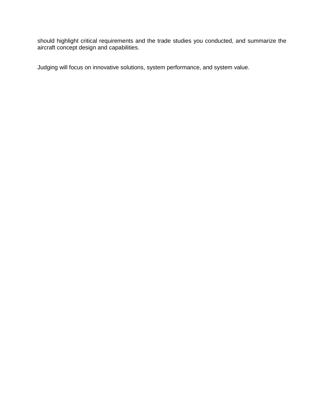should highlight critical requirements and the trade studies you conducted, and summarize the aircraft concept design and capabilities.

Judging will focus on innovative solutions, system performance, and system value.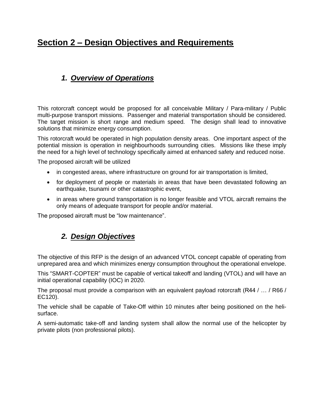# <span id="page-8-0"></span>**Section 2 – Design Objectives and Requirements**

# <span id="page-8-1"></span>*1. Overview of Operations*

This rotorcraft concept would be proposed for all conceivable Military / Para-military / Public multi-purpose transport missions. Passenger and material transportation should be considered. The target mission is short range and medium speed. The design shall lead to innovative solutions that minimize energy consumption.

This rotorcraft would be operated in high population density areas. One important aspect of the potential mission is operation in neighbourhoods surrounding cities. Missions like these imply the need for a high level of technology specifically aimed at enhanced safety and reduced noise.

The proposed aircraft will be utilized

- in congested areas, where infrastructure on ground for air transportation is limited,
- for deployment of people or materials in areas that have been devastated following an earthquake, tsunami or other catastrophic event,
- in areas where ground transportation is no longer feasible and VTOL aircraft remains the only means of adequate transport for people and/or material.

<span id="page-8-2"></span>The proposed aircraft must be "low maintenance".

## *2. Design Objectives*

The objective of this RFP is the design of an advanced VTOL concept capable of operating from unprepared area and which minimizes energy consumption throughout the operational envelope.

This "SMART-COPTER" must be capable of vertical takeoff and landing (VTOL) and will have an initial operational capability (IOC) in 2020.

The proposal must provide a comparison with an equivalent payload rotorcraft (R44 / ... / R66 / EC120).

The vehicle shall be capable of Take-Off within 10 minutes after being positioned on the helisurface.

A semi-automatic take-off and landing system shall allow the normal use of the helicopter by private pilots (non professional pilots).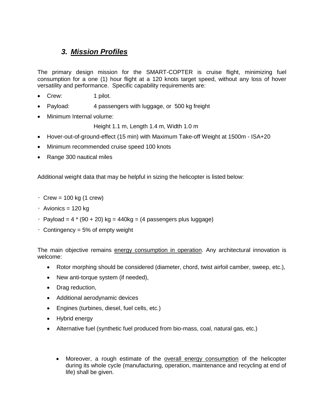### *3. Mission Profiles*

<span id="page-9-0"></span>The primary design mission for the SMART-COPTER is cruise flight, minimizing fuel consumption for a one (1) hour flight at a 120 knots target speed, without any loss of hover versatility and performance. Specific capability requirements are:

- Crew: 1 pilot.
- Payload: 4 passengers with luggage, or 500 kg freight
- Minimum Internal volume:

Height 1.1 m, Length 1.4 m, Width 1.0 m

- Hover-out-of-ground-effect (15 min) with Maximum Take-off Weight at 1500m ISA+20
- Minimum recommended cruise speed 100 knots
- Range 300 nautical miles

Additional weight data that may be helpful in sizing the helicopter is listed below:

- $\cdot$  Crew = 100 kg (1 crew)
- Avionics = 120 kg
- $\cdot$  Payload = 4  $*$  (90 + 20) kg = 440kg = (4 passengers plus luggage)
- Contingency = 5% of empty weight

The main objective remains energy consumption in operation. Any architectural innovation is welcome:

- Rotor morphing should be considered (diameter, chord, twist airfoil camber, sweep, etc.),
- New anti-torque system (if needed),
- Drag reduction,
- Additional aerodynamic devices
- Engines (turbines, diesel, fuel cells, etc.)
- Hybrid energy
- Alternative fuel (synthetic fuel produced from bio-mass, coal, natural gas, etc.)
	- Moreover, a rough estimate of the overall energy consumption of the helicopter during its whole cycle (manufacturing, operation, maintenance and recycling at end of life) shall be given.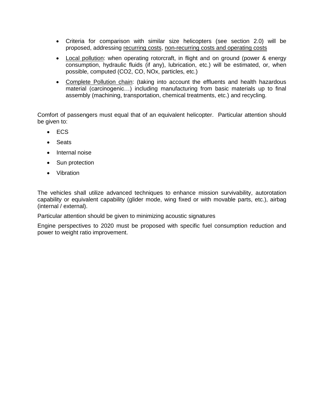- Criteria for comparison with similar size helicopters (see section 2.0) will be proposed, addressing recurring costs, non-recurring costs and operating costs
- Local pollution: when operating rotorcraft, in flight and on ground (power & energy consumption, hydraulic fluids (if any), lubrication, etc.) will be estimated, or, when possible, computed (CO2, CO, NOx, particles, etc.)
- Complete Pollution chain: (taking into account the effluents and health hazardous material (carcinogenic…) including manufacturing from basic materials up to final assembly (machining, transportation, chemical treatments, etc.) and recycling.

Comfort of passengers must equal that of an equivalent helicopter. Particular attention should be given to:

- ECS
- Seats
- Internal noise
- Sun protection
- Vibration

The vehicles shall utilize advanced techniques to enhance mission survivability, autorotation capability or equivalent capability (glider mode, wing fixed or with movable parts, etc.), airbag (internal / external).

Particular attention should be given to minimizing acoustic signatures

Engine perspectives to 2020 must be proposed with specific fuel consumption reduction and power to weight ratio improvement.